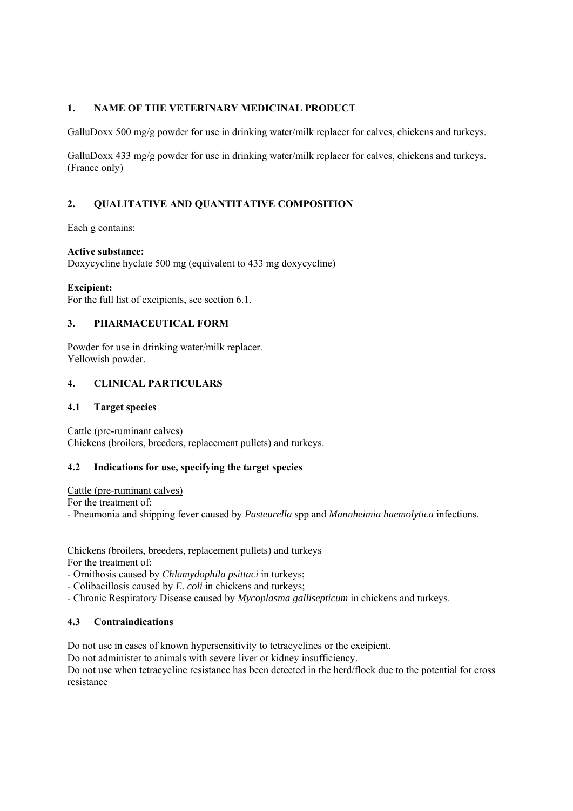# **1. NAME OF THE VETERINARY MEDICINAL PRODUCT**

GalluDoxx 500 mg/g powder for use in drinking water/milk replacer for calves, chickens and turkeys.

GalluDoxx 433 mg/g powder for use in drinking water/milk replacer for calves, chickens and turkeys. (France only)

# **2. QUALITATIVE AND QUANTITATIVE COMPOSITION**

Each g contains:

#### **Active substance:**

Doxycycline hyclate 500 mg (equivalent to 433 mg doxycycline)

#### **Excipient:**

For the full list of excipients, see section 6.1.

# **3. PHARMACEUTICAL FORM**

Powder for use in drinking water/milk replacer. Yellowish powder.

# **4. CLINICAL PARTICULARS**

#### **4.1 Target species**

Cattle (pre-ruminant calves) Chickens (broilers, breeders, replacement pullets) and turkeys.

### **4.2 Indications for use, specifying the target species**

Cattle (pre-ruminant calves)

For the treatment of:

- Pneumonia and shipping fever caused by *Pasteurella* spp and *Mannheimia haemolytica* infections.

Chickens (broilers, breeders, replacement pullets) and turkeys For the treatment of:

- Ornithosis caused by *Chlamydophila psittaci* in turkeys;

- Colibacillosis caused by *E. coli* in chickens and turkeys;

- Chronic Respiratory Disease caused by *Mycoplasma gallisepticum* in chickens and turkeys.

### **4.3 Contraindications**

Do not use in cases of known hypersensitivity to tetracyclines or the excipient.

Do not administer to animals with severe liver or kidney insufficiency.

Do not use when tetracycline resistance has been detected in the herd/flock due to the potential for cross resistance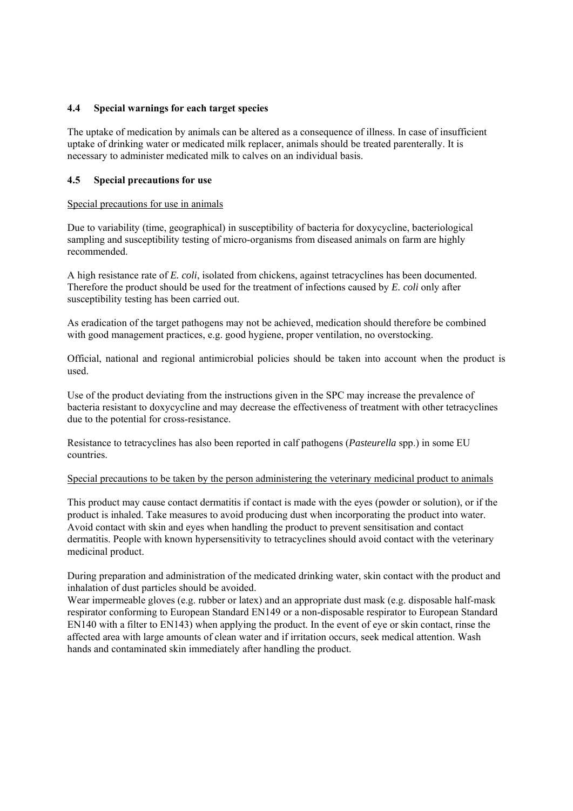#### **4.4 Special warnings for each target species**

The uptake of medication by animals can be altered as a consequence of illness. In case of insufficient uptake of drinking water or medicated milk replacer, animals should be treated parenterally. It is necessary to administer medicated milk to calves on an individual basis.

#### **4.5 Special precautions for use**

#### Special precautions for use in animals

Due to variability (time, geographical) in susceptibility of bacteria for doxycycline, bacteriological sampling and susceptibility testing of micro-organisms from diseased animals on farm are highly recommended.

A high resistance rate of *E. coli*, isolated from chickens, against tetracyclines has been documented. Therefore the product should be used for the treatment of infections caused by *E. coli* only after susceptibility testing has been carried out.

As eradication of the target pathogens may not be achieved, medication should therefore be combined with good management practices, e.g. good hygiene, proper ventilation, no overstocking.

Official, national and regional antimicrobial policies should be taken into account when the product is used.

Use of the product deviating from the instructions given in the SPC may increase the prevalence of bacteria resistant to doxycycline and may decrease the effectiveness of treatment with other tetracyclines due to the potential for cross-resistance.

Resistance to tetracyclines has also been reported in calf pathogens (*Pasteurella* spp.) in some EU countries.

#### Special precautions to be taken by the person administering the veterinary medicinal product to animals

This product may cause contact dermatitis if contact is made with the eyes (powder or solution), or if the product is inhaled. Take measures to avoid producing dust when incorporating the product into water. Avoid contact with skin and eyes when handling the product to prevent sensitisation and contact dermatitis. People with known hypersensitivity to tetracyclines should avoid contact with the veterinary medicinal product.

During preparation and administration of the medicated drinking water, skin contact with the product and inhalation of dust particles should be avoided.

Wear impermeable gloves (e.g. rubber or latex) and an appropriate dust mask (e.g. disposable half-mask respirator conforming to European Standard EN149 or a non-disposable respirator to European Standard EN140 with a filter to EN143) when applying the product. In the event of eye or skin contact, rinse the affected area with large amounts of clean water and if irritation occurs, seek medical attention. Wash hands and contaminated skin immediately after handling the product.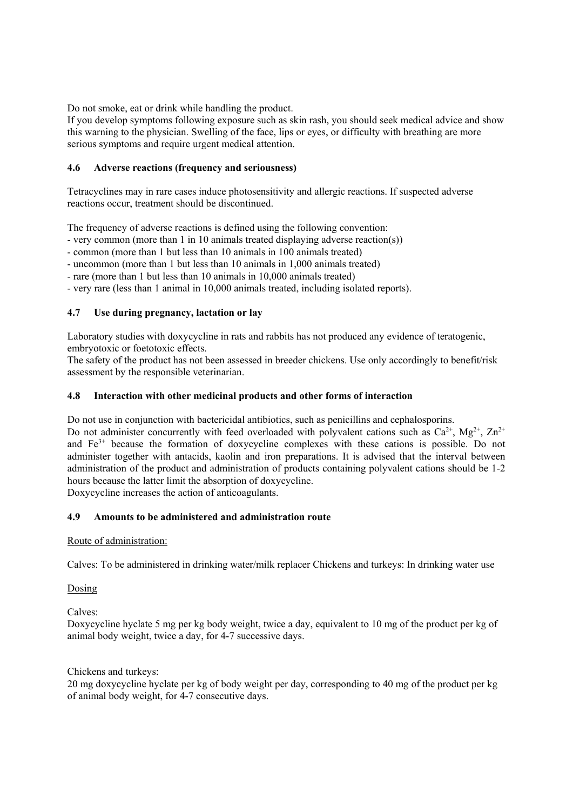Do not smoke, eat or drink while handling the product.

If you develop symptoms following exposure such as skin rash, you should seek medical advice and show this warning to the physician. Swelling of the face, lips or eyes, or difficulty with breathing are more serious symptoms and require urgent medical attention.

### **4.6 Adverse reactions (frequency and seriousness)**

Tetracyclines may in rare cases induce photosensitivity and allergic reactions. If suspected adverse reactions occur, treatment should be discontinued.

The frequency of adverse reactions is defined using the following convention:

- very common (more than 1 in 10 animals treated displaying adverse reaction(s))

- common (more than 1 but less than 10 animals in 100 animals treated)

- uncommon (more than 1 but less than 10 animals in 1,000 animals treated)

- rare (more than 1 but less than 10 animals in 10,000 animals treated)

- very rare (less than 1 animal in 10,000 animals treated, including isolated reports).

# **4.7 Use during pregnancy, lactation or lay**

Laboratory studies with doxycycline in rats and rabbits has not produced any evidence of teratogenic, embryotoxic or foetotoxic effects.

The safety of the product has not been assessed in breeder chickens. Use only accordingly to benefit/risk assessment by the responsible veterinarian.

### **4.8 Interaction with other medicinal products and other forms of interaction**

Do not use in conjunction with bactericidal antibiotics, such as penicillins and cephalosporins.

Do not administer concurrently with feed overloaded with polyvalent cations such as  $Ca^{2+}$ ,  $Mg^{2+}$ ,  $Zn^{2+}$ and Fe<sup>3+</sup> because the formation of doxycycline complexes with these cations is possible. Do not administer together with antacids, kaolin and iron preparations. It is advised that the interval between administration of the product and administration of products containing polyvalent cations should be 1-2 hours because the latter limit the absorption of doxycycline.

Doxycycline increases the action of anticoagulants.

### **4.9 Amounts to be administered and administration route**

### Route of administration:

Calves: To be administered in drinking water/milk replacer Chickens and turkeys: In drinking water use

Dosing

Calves:

Doxycycline hyclate 5 mg per kg body weight, twice a day, equivalent to 10 mg of the product per kg of animal body weight, twice a day, for 4-7 successive days.

Chickens and turkeys:

20 mg doxycycline hyclate per kg of body weight per day, corresponding to 40 mg of the product per kg of animal body weight, for 4-7 consecutive days.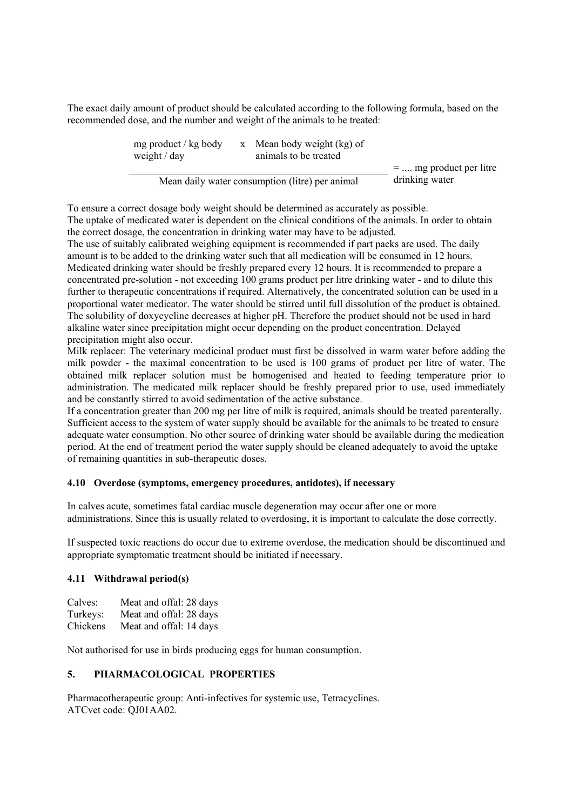The exact daily amount of product should be calculated according to the following formula, based on the recommended dose, and the number and weight of the animals to be treated:

| mg product / kg body<br>weight $/$ day          | x Mean body weight (kg) of<br>animals to be treated |                          |
|-------------------------------------------------|-----------------------------------------------------|--------------------------|
|                                                 |                                                     | $=$ mg product per litre |
| Mean daily water consumption (litre) per animal |                                                     | drinking water           |

To ensure a correct dosage body weight should be determined as accurately as possible. The uptake of medicated water is dependent on the clinical conditions of the animals. In order to obtain the correct dosage, the concentration in drinking water may have to be adjusted.

The use of suitably calibrated weighing equipment is recommended if part packs are used. The daily amount is to be added to the drinking water such that all medication will be consumed in 12 hours. Medicated drinking water should be freshly prepared every 12 hours. It is recommended to prepare a concentrated pre-solution - not exceeding 100 grams product per litre drinking water - and to dilute this further to therapeutic concentrations if required. Alternatively, the concentrated solution can be used in a proportional water medicator. The water should be stirred until full dissolution of the product is obtained. The solubility of doxycycline decreases at higher pH. Therefore the product should not be used in hard alkaline water since precipitation might occur depending on the product concentration. Delayed precipitation might also occur.

Milk replacer: The veterinary medicinal product must first be dissolved in warm water before adding the milk powder - the maximal concentration to be used is 100 grams of product per litre of water. The obtained milk replacer solution must be homogenised and heated to feeding temperature prior to administration. The medicated milk replacer should be freshly prepared prior to use, used immediately and be constantly stirred to avoid sedimentation of the active substance.

If a concentration greater than 200 mg per litre of milk is required, animals should be treated parenterally. Sufficient access to the system of water supply should be available for the animals to be treated to ensure adequate water consumption. No other source of drinking water should be available during the medication period. At the end of treatment period the water supply should be cleaned adequately to avoid the uptake of remaining quantities in sub-therapeutic doses.

### **4.10 Overdose (symptoms, emergency procedures, antidotes), if necessary**

In calves acute, sometimes fatal cardiac muscle degeneration may occur after one or more administrations. Since this is usually related to overdosing, it is important to calculate the dose correctly.

If suspected toxic reactions do occur due to extreme overdose, the medication should be discontinued and appropriate symptomatic treatment should be initiated if necessary.

#### **4.11 Withdrawal period(s)**

| Calves:  | Meat and offal: 28 days |
|----------|-------------------------|
| Turkeys: | Meat and offal: 28 days |
| Chickens | Meat and offal: 14 days |

Not authorised for use in birds producing eggs for human consumption.

#### **5. PHARMACOLOGICAL PROPERTIES**

Pharmacotherapeutic group: Anti-infectives for systemic use, Tetracyclines. ATCvet code: QJ01AA02.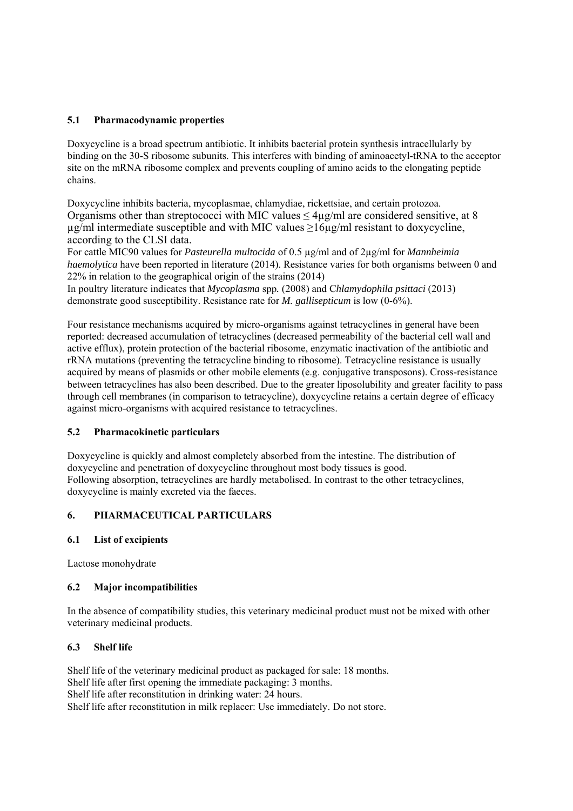# **5.1 Pharmacodynamic properties**

Doxycycline is a broad spectrum antibiotic. It inhibits bacterial protein synthesis intracellularly by binding on the 30-S ribosome subunits. This interferes with binding of aminoacetyl-tRNA to the acceptor site on the mRNA ribosome complex and prevents coupling of amino acids to the elongating peptide chains.

Doxycycline inhibits bacteria, mycoplasmae, chlamydiae, rickettsiae, and certain protozoa. Organisms other than streptococci with MIC values  $\leq 4\mu$ g/ml are considered sensitive, at 8  $\mu$ g/ml intermediate susceptible and with MIC values >16 $\mu$ g/ml resistant to doxycycline, according to the CLSI data.

For cattle MIC90 values for *Pasteurella multocida* of 0.5 µg/ml and of 2µg/ml for *Mannheimia haemolytica* have been reported in literature (2014). Resistance varies for both organisms between 0 and 22% in relation to the geographical origin of the strains (2014)

In poultry literature indicates that *Mycoplasma* spp*.* (2008) and C*hlamydophila psittaci* (2013) demonstrate good susceptibility. Resistance rate for *M. gallisepticum* is low (0-6%).

Four resistance mechanisms acquired by micro-organisms against tetracyclines in general have been reported: decreased accumulation of tetracyclines (decreased permeability of the bacterial cell wall and active efflux), protein protection of the bacterial ribosome, enzymatic inactivation of the antibiotic and rRNA mutations (preventing the tetracycline binding to ribosome). Tetracycline resistance is usually acquired by means of plasmids or other mobile elements (e.g. conjugative transposons). Cross-resistance between tetracyclines has also been described. Due to the greater liposolubility and greater facility to pass through cell membranes (in comparison to tetracycline), doxycycline retains a certain degree of efficacy against micro-organisms with acquired resistance to tetracyclines.

### **5.2 Pharmacokinetic particulars**

Doxycycline is quickly and almost completely absorbed from the intestine. The distribution of doxycycline and penetration of doxycycline throughout most body tissues is good. Following absorption, tetracyclines are hardly metabolised. In contrast to the other tetracyclines, doxycycline is mainly excreted via the faeces.

# **6. PHARMACEUTICAL PARTICULARS**

### **6.1 List of excipients**

Lactose monohydrate

### **6.2 Major incompatibilities**

In the absence of compatibility studies, this veterinary medicinal product must not be mixed with other veterinary medicinal products.

### **6.3 Shelf life**

Shelf life of the veterinary medicinal product as packaged for sale: 18 months. Shelf life after first opening the immediate packaging: 3 months. Shelf life after reconstitution in drinking water: 24 hours. Shelf life after reconstitution in milk replacer: Use immediately. Do not store.